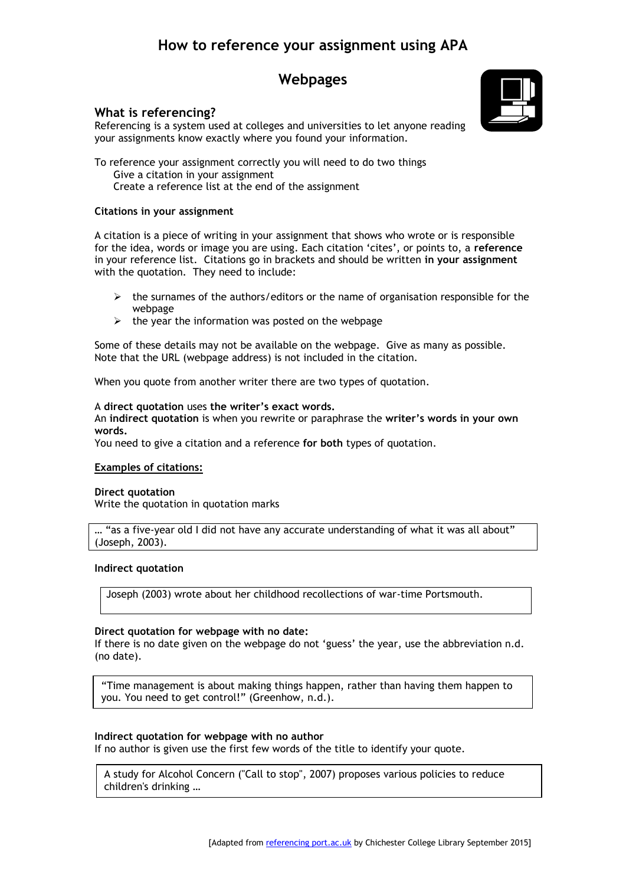# **How to reference your assignment using APA**

## **Webpages**

### **What is referencing?**

Referencing is a system used at colleges and universities to let anyone reading your assignments know exactly where you found your information.

To reference your assignment correctly you will need to do two things Give a citation in your assignment Create a reference list at the end of the assignment

#### **Citations in your assignment**

A citation is a piece of writing in your assignment that shows who wrote or is responsible for the idea, words or image you are using. Each citation 'cites', or points to, a **reference**  in your reference list. Citations go in brackets and should be written **in your assignment** with the quotation. They need to include:

- $\triangleright$  the surnames of the authors/editors or the name of organisation responsible for the webpage
- $\triangleright$  the year the information was posted on the webpage

Some of these details may not be available on the webpage. Give as many as possible. Note that the URL (webpage address) is not included in the citation.

When you quote from another writer there are two types of quotation.

#### A **direct quotation** uses **the writer's exact words.**

An **indirect quotation** is when you rewrite or paraphrase the **writer's words in your own words.** 

You need to give a citation and a reference **for both** types of quotation.

#### **Examples of citations:**

#### **Direct quotation**

Write the quotation in quotation marks

... "as a five-year old I did not have any accurate understanding of what it was all about" (Joseph, 2003).

#### **Indirect quotation**

Joseph (2003) wrote about her childhood recollections of war-time Portsmouth.

#### **Direct quotation for webpage with no date:**

If there is no date given on the webpage do not 'guess' the year, use the abbreviation n.d. (no date).

"Time management is about making things happen, rather than having them happen to you. You need to get control!" (Greenhow, n.d.).

#### **Indirect quotation for webpage with no author**

If no author is given use the first few words of the title to identify your quote.

A study for Alcohol Concern ("Call to stop", 2007) proposes various policies to reduce children's drinking …